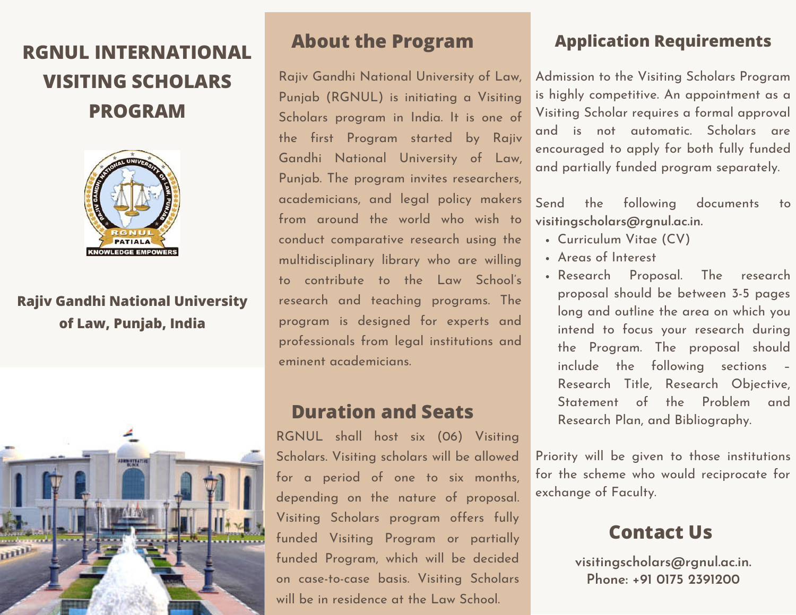# **RGNUL INTERNATIONAL VISITING SCHOLARS PROGRAM**



## **Rajiv Gandhi National University of Law, Punjab, India**



## **About the Program**

Rajiv Gandhi National University of Law, Punjab (RGNUL) is initiating a Visiting Scholars program in India. It is one of the first Program started by Rajiv Gandhi National University of Law, Punjab. The program invites researchers, academicians, and legal policy makers from around the world who wish to conduct comparative research using the multidisciplinary library who are willing to contribute to the Law School's research and teaching programs. The program is designed for experts and professionals from legal institutions and eminent academicians.

## **Duration and Seats**

RGNUL shall host six (06) Visiting Scholars. Visiting scholars will be allowed for a period of one to six months, depending on the nature of proposal. Visiting Scholars program offers fully funded Visiting Program or partially funded Program, which will be decided on case-to-case basis. Visiting Scholars will be in residence at the Law School.

## **Application Requirements**

Admission to the Visiting Scholars Program is highly competitive. An appointment as a Visiting Scholar requires a formal approval and is not automatic. Scholars are encouraged to apply for both fully funded and partially funded program separately.

Send the following documents to **visitingscholars@rgnul.ac.in.**

- Curriculum Vitae (CV)
- Areas of Interest
- Research Proposal. The research proposal should be between 3-5 pages long and outline the area on which you intend to focus your research during the Program. The proposal should include the following sections – Research Title, Research Objective, Statement of the Problem and Research Plan, and Bibliography.

Priority will be given to those institutions for the scheme who would reciprocate for exchange of Faculty.

## **Contact Us**

**visitingscholars@rgnul.ac.in. Phone: +91 0175 2391200**